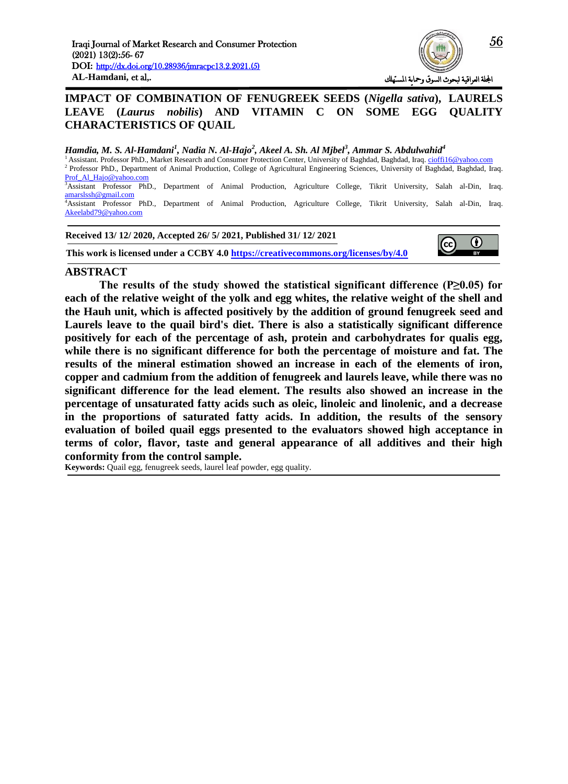

# **IMPACT OF COMBINATION OF FENUGREEK SEEDS (***Nigella sativa***), [LAURELS](https://www.google.com/search?rlz=1C1CHBD_arIQ831IQ831&q=Laurus&stick=H4sIAAAAAAAAAOPgE-LUz9U3MDJPs6hSAjNNjcsrDLQss5Ot9JMy83Py0yv184vSE_Myi3Pjk3MSi4sz0zKTE0sy8_OsMjLTM1KLFFBFF7Gy-SSWFpUW72BlBAAPh9cDXwAAAA&sa=X&ved=2ahUKEwjerePKtqHtAhWkmIsKHYa6ASYQmxMoATAYegQIFhAD) LEAVE (***Laurus nobilis***) AND VITAMIN C ON SOME EGG QUALITY CHARACTERISTICS OF QUAIL**

#### $H$ amdia, M. S. Al-Hamdani<sup>1</sup>, Nadia N. Al-Hajo<sup>2</sup>, Akeel A. Sh. Al Mjbel<sup>3</sup>, Ammar S. Abdulwahid<sup>4</sup>

<sup>1</sup>Assistant. Professor PhD., Market Research and Consumer Protection Center, University of Baghdad, Baghdad, Iraq. cioffi16@yahoo.com <sup>2</sup> Professor PhD., Department of Animal Production, College of Agricultural Engineering Sciences, University of Baghdad, Baghdad, Iraq. Prof\_Al\_Hajo@yahoo.com <sup>3</sup>Assistant Professor PhD., Department of Animal Production, Agriculture College, Tikrit University, Salah al-Din, Iraq. [amarslssh@gmail.com](mailto:amarslssh@gmail.com) <sup>4</sup>Assistant Professor PhD., Department of Animal Production, Agriculture College, Tikrit University, Salah al-Din, Iraq. Akeelabd79@yahoo.com

**Received 13/ 12/ 2020, Accepted 26/ 5/ 2021, Published 31/ 12/ 2021**

**This work is licensed under a CCBY 4.0<https://creativecommons.org/licenses/by/4.0>**



 $\bf(i)$ 

 $RV$ 

#### **ABSTRACT**

**The results of the study showed the statistical significant difference (P≥0.05) for each of the relative weight of the yolk and egg whites, the relative weight of the shell and the Hauh unit, which is affected positively by the addition of ground fenugreek seed and Laurels leave to the quail bird's diet. There is also a statistically significant difference positively for each of the percentage of ash, protein and carbohydrates for qualis egg, while there is no significant difference for both the percentage of moisture and fat. The results of the mineral estimation showed an increase in each of the elements of iron, copper and cadmium from the addition of fenugreek and laurels leave, while there was no significant difference for the lead element. The results also showed an increase in the percentage of unsaturated fatty acids such as oleic, linoleic and linolenic, and a decrease in the proportions of saturated fatty acids. In addition, the results of the sensory evaluation of boiled quail eggs presented to the evaluators showed high acceptance in terms of color, flavor, taste and general appearance of all additives and their high conformity from the control sample.**

**Keywords:** Quail egg, fenugreek seeds, laurel leaf powder, egg quality.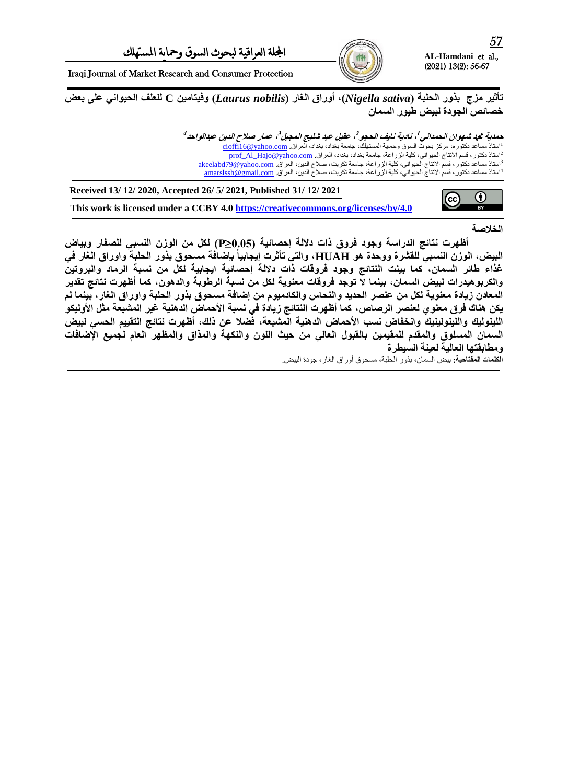

Iraqi Journal of Market Research and Consumer Protection

**حأثٍش ٍضج بزوس اىحيبت )***sativa Nigella***), أوساق اىغاس )***nobilis Laurus* **)وفٍخاٍٍِ C ىيعيف اىحٍىاًّ عيى بعغ خصائص الجودة لبيض طيور السمان** 

> حمدية محد شهوان الحمداني !، نادية نايف الحجو 2، عقيل عبد شليج المجبل'<sup>3</sup>، عمار صلاح الدين عبدالواحد<sup>4</sup> <sup>ا</sup>استاذ مساعد دكتوره، مركز بحوث السوق وحماية المستهلك، جامعة بغداد، بغداد، العراق. <u>cioffi16@yahoo.com</u> <sup>2</sup>استاذ دكتور ، قسم الانتاج الحيواني، كلية الزراعة، جامعة بغداد، بغداد، العراق. <u>prof\_Al\_Hajo@yahoo.com</u> أاستاذ مساعد دكتور ، قسم الانتاج الحيواني، كلية الزراعة، جامعة تكريت، صلاح الدين، العراق. <u>akeelabd79@yahoo.com</u> <sup>4</sup>استاذ مساعد دكتور ، قسم الانتاج الحيواني، كلية الزراعة، جامعة تكريت، صلاح الدين، العراق. <u>amarslssh @gmail.com</u>



**Received 13/ 12/ 2020, Accepted 26/ 5/ 2021, Published 31/ 12/ 2021**

**This work is licensed under a CCBY 4.0<https://creativecommons.org/licenses/by/4.0>**

**اىخالطت**

أظهرت نتائج الدراسة وجود فروق ذات دلالة إحصائية (0.05≤P) لكل من الوزن النسب*ي* للصفار وبياض **, واىخً حأثشث إٌدابٍاً اىبٍغ, اىىصُ اىْسبً ىيقششة ووحذة هى HUAH بإػافت ٍسحىق بزوس اىحيبت واوساق اىغاس فً** غذاء طائر السمان، كما بينت النتائج وجود فروقات ذات دلالة إحصائية ايجابية لكل من نسبة الرماد والبروتين والكربو هيدرات لبيض السمان، بينما لا توجد فروقات معنوية لكل من نسبة الرطوبة والدهون، كما أظهرت نتائج تقدير المعادن زيادة معنوية لكل من عنصر الحديد والنحاس والكادميوم من إضافة مسحوق بذور الحلبة واوراق الغار، بينما لم يكن هناك فرق معنو ي لعنصر الرصاص، كما أظهرت النتائج زيادة فى نسبة الأحماض الدهنية غير المشبعة مثل الأوليكو اللينوليك واللينولينيك وانخفاض نسب الأحماض الدهنية المشبعة، فضلا عن ذلك، أظهرت نتائج التقييم الح*سي* لبيض السمان المسلوق والمقدم للمقيمين بالقبول العالى من حيث اللون والنكهة والمذاق والمظهر العام لجميع الإضافات و مطابقتها العالية لعينة السيطر ة

**اىنيَاث اىَفخاحٍت:** بيض السمان، بروز الحلبت، مسحىق أوزاق الغاز، جىدة البيض.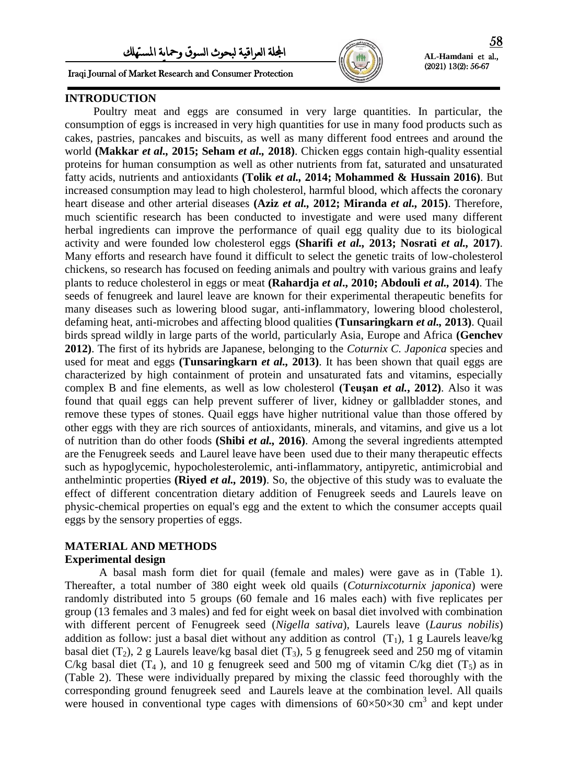Iraqi Journal of Market Research and Consumer Protection



**AL-Hamdani** et al., (2021) 13(2): 56-67

# **INTRODUCTION**

 Poultry meat and eggs are consumed in very large quantities. In particular, the consumption of eggs is increased in very high quantities for use in many food products such as cakes, pastries, pancakes and biscuits, as well as many different food entrees and around the world **(Makkar** *et al.,* **2015; Seham** *et al.,* **2018)**. Chicken eggs contain high-quality essential proteins for human consumption as well as other nutrients from fat, saturated and unsaturated fatty acids, nutrients and antioxidants **(Tolik** *et al.,* **2014; Mohammed & Hussain 2016)**. But increased consumption may lead to high cholesterol, harmful blood, which affects the coronary heart disease and other arterial diseases **(Aziz** *et al.,* **2012; Miranda** *et al.,* **2015)**. Therefore, much scientific research has been conducted to investigate and were used many different herbal ingredients can improve the performance of quail egg quality due to its biological activity and were founded low cholesterol eggs **(Sharifi** *et al.,* **2013; Nosrati** *et al.,* **2017)**. Many efforts and research have found it difficult to select the genetic traits of low-cholesterol chickens, so research has focused on feeding animals and poultry with various grains and leafy plants to reduce cholesterol in eggs or meat **(Rahardja** *et al***., 2010; Abdouli** *et al.,* **2014)**. The seeds of fenugreek and laurel leave are known for their experimental therapeutic benefits for many diseases such as lowering blood sugar, anti-inflammatory, lowering blood cholesterol, defaming heat, anti-microbes and affecting blood qualities **(Tunsaringkarn** *et al.,* **2013)**. Quail birds spread wildly in large parts of the world, particularly Asia, Europe and Africa **(Genchev 2012)**. The first of its hybrids are Japanese, belonging to the *Coturnix C. Japonica* species and used for meat and eggs **(Tunsaringkarn** *et al.,* **2013)**. It has been shown that quail eggs are characterized by high containment of protein and unsaturated fats and vitamins, especially complex B and fine elements, as well as low cholesterol **(Teuşan** *et al.***, 2012)**. Also it was found that quail eggs can help prevent sufferer of liver, kidney or gallbladder stones, and remove these types of stones. Quail eggs have higher nutritional value than those offered by other eggs with they are rich sources of antioxidants, minerals, and vitamins, and give us a lot of nutrition than do other foods **(Shibi** *et al.,* **2016)**. Among the several ingredients attempted are the Fenugreek seeds and Laurel leave have been used due to their many therapeutic effects such as hypoglycemic, hypocholesterolemic, anti-inflammatory, antipyretic, antimicrobial and anthelmintic properties **(Riyed** *et al.,* **2019)**. So, the objective of this study was to evaluate the effect of different concentration dietary addition of Fenugreek seeds and Laurels leave on physic-chemical properties on equal's egg and the extent to which the consumer accepts quail eggs by the sensory properties of eggs.

### **MATERIAL AND METHODS**

#### **Experimental design**

A basal mash form diet for quail (female and males) were gave as in (Table 1). Thereafter, a total number of 380 eight week old quails (*Coturnixcoturnix japonica*) were randomly distributed into 5 groups (60 female and 16 males each) with five replicates per group (13 females and 3 males) and fed for eight week on basal diet involved with combination with different percent of Fenugreek seed (*Nigella sativa*), Laurels leave (*Laurus nobilis*) addition as follow: just a basal diet without any addition as control  $(T_1)$ , 1 g Laurels leave/kg basal diet (T<sub>2</sub>), 2 g Laurels leave/kg basal diet (T<sub>3</sub>), 5 g fenugreek seed and 250 mg of vitamin C/kg basal diet  $(T_4)$ , and 10 g fenugreek seed and 500 mg of vitamin C/kg diet  $(T_5)$  as in (Table 2). These were individually prepared by mixing the classic feed thoroughly with the corresponding ground fenugreek seed and Laurels leave at the combination level. All quails were housed in conventional type cages with dimensions of  $60\times50\times30$  cm<sup>3</sup> and kept under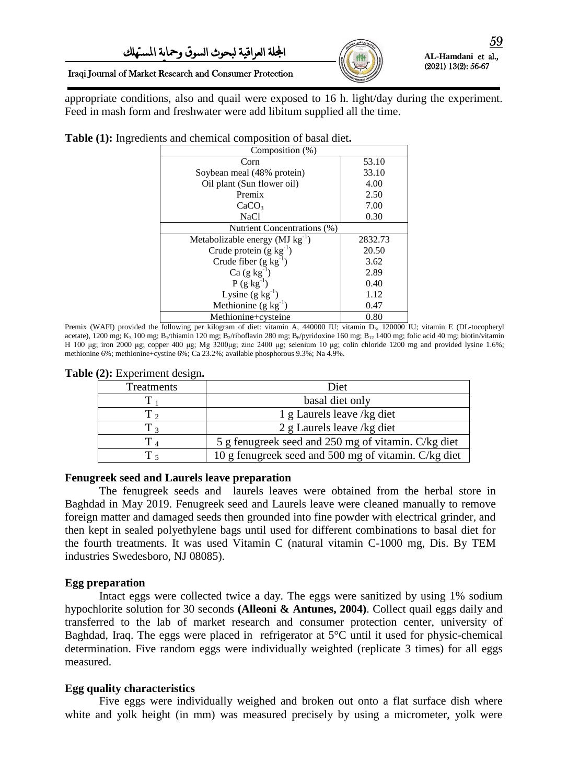

#### Iraqi Journal of Market Research and Consumer Protection

appropriate conditions, also and quail were exposed to 16 h. light/day during the experiment. Feed in mash form and freshwater were add libitum supplied all the time.

| Composition (%)                                |         |  |  |  |  |
|------------------------------------------------|---------|--|--|--|--|
| Corn                                           | 53.10   |  |  |  |  |
| Soybean meal (48% protein)                     | 33.10   |  |  |  |  |
| Oil plant (Sun flower oil)                     | 4.00    |  |  |  |  |
| Premix                                         | 2.50    |  |  |  |  |
| CaCO <sub>3</sub>                              | 7.00    |  |  |  |  |
| <b>NaCl</b>                                    | 0.30    |  |  |  |  |
| Nutrient Concentrations (%)                    |         |  |  |  |  |
| Metabolizable energy ( $MJ$ kg <sup>-1</sup> ) | 2832.73 |  |  |  |  |
| Crude protein $(g kg^{-1})$                    | 20.50   |  |  |  |  |
| Crude fiber $(g kg^{-1})$                      | 3.62    |  |  |  |  |
| $Ca (g kg-1)$                                  | 2.89    |  |  |  |  |
| $P(g kg^{-1})$                                 | 0.40    |  |  |  |  |
| Lysine $(g \text{ kg}^{-1})$                   | 1.12    |  |  |  |  |
| Methionine $(g \ kg^{-1})$                     | 0.47    |  |  |  |  |
| Methionine+cysteine                            | 0.80    |  |  |  |  |

**Table (1):** Ingredients and chemical composition of basal diet**.**

Premix (WAFI) provided the following per kilogram of diet: vitamin A, 440000 IU; vitamin D<sub>3</sub>, 120000 IU; vitamin E (DL-tocopheryl acetate), 1200 mg; K<sub>3</sub> 100 mg; B<sub>1</sub>/thiamin 120 mg; B<sub>2</sub>/riboflavin 280 mg; B<sub>6</sub>/pyridoxine 160 mg; B<sub>12</sub> 1400 mg; folic acid 40 mg; biotin/vitamin H 100 μg; iron 2000 μg; copper 400 μg; Mg 3200μg; zinc 2400 μg; selenium 10 μg; colin chloride 1200 mg and provided lysine 1.6%; methionine 6%; methionine+cystine 6%; Ca 23.2%; available phosphorous 9.3%; Na 4.9%.

**Table (2):** Experiment design**.**

| Treatments | Diet                                                 |
|------------|------------------------------------------------------|
|            | basal diet only                                      |
|            | 1 g Laurels leave /kg diet                           |
| T 3        | 2 g Laurels leave /kg diet                           |
| $\rm T$ .  | 5 g fenugreek seed and 250 mg of vitamin. C/kg diet  |
|            | 10 g fenugreek seed and 500 mg of vitamin. C/kg diet |

### **Fenugreek seed and Laurels leave preparation**

The fenugreek seeds and laurels leaves were obtained from the herbal store in Baghdad in May 2019. Fenugreek seed and Laurels leave were cleaned manually to remove foreign matter and damaged seeds then grounded into fine powder with electrical grinder, and then kept in sealed polyethylene bags until used for different combinations to basal diet for the fourth treatments. It was used Vitamin C (natural vitamin C-1000 mg, Dis. By TEM industries Swedesboro, NJ 08085).

### **Egg preparation**

Intact eggs were collected twice a day. The eggs were sanitized by using 1% sodium hypochlorite solution for 30 seconds **(Alleoni & Antunes, 2004)**. Collect quail eggs daily and transferred to the lab of market research and consumer protection center, university of Baghdad, Iraq. The eggs were placed in refrigerator at 5°C until it used for physic-chemical determination. Five random eggs were individually weighted (replicate 3 times) for all eggs measured.

### **Egg quality characteristics**

Five eggs were individually weighed and broken out onto a flat surface dish where white and yolk height (in mm) was measured precisely by using a micrometer, yolk were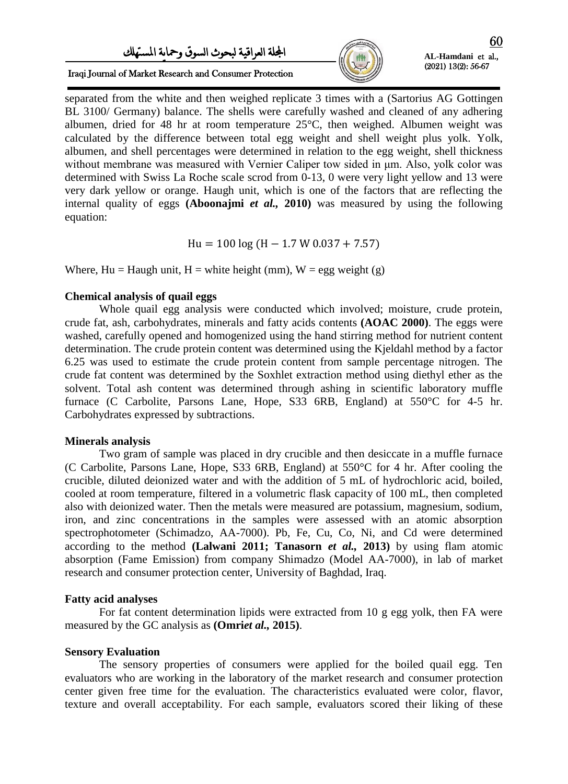# اجمللة العراقية لبحىث السىق ومحاية املستهلك



Iraqi Journal of Market Research and Consumer Protection

separated from the white and then weighed replicate 3 times with a (Sartorius AG Gottingen BL 3100/ Germany) balance. The shells were carefully washed and cleaned of any adhering albumen, dried for 48 hr at room temperature 25°C, then weighed. Albumen weight was calculated by the difference between total egg weight and shell weight plus yolk. Yolk, albumen, and shell percentages were determined in relation to the egg weight, shell thickness without membrane was measured with Vernier Caliper tow sided in  $\mu$ m. Also, yolk color was determined with Swiss La Roche scale scrod from 0-13, 0 were very light yellow and 13 were very dark yellow or orange. Haugh unit, which is one of the factors that are reflecting the internal quality of eggs **(Aboonajmi** *et al.,* **2010)** was measured by using the following equation:

 $Hu = 100 \log (H - 1.7 W 0.037 + 7.57)$ 

Where,  $Hu = Haugh$  unit,  $H = white$  height (mm),  $W = egg$  weight (g)

#### **Chemical analysis of quail eggs**

Whole quail egg analysis were conducted which involved; moisture, crude protein, crude fat, ash, carbohydrates, minerals and fatty acids contents **(AOAC 2000)**. The eggs were washed, carefully opened and homogenized using the hand stirring method for nutrient content determination. The crude protein content was determined using the Kjeldahl method by a factor 6.25 was used to estimate the crude protein content from sample percentage nitrogen. The crude fat content was determined by the Soxhlet extraction method using diethyl ether as the solvent. Total ash content was determined through ashing in scientific laboratory muffle furnace (C Carbolite, Parsons Lane, Hope, S33 6RB, England) at 550°C for 4-5 hr. Carbohydrates expressed by subtractions.

### **Minerals analysis**

Two gram of sample was placed in dry crucible and then desiccate in a muffle furnace (C Carbolite, Parsons Lane, Hope, S33 6RB, England) at 550°C for 4 hr. After cooling the crucible, diluted deionized water and with the addition of 5 mL of hydrochloric acid, boiled, cooled at room temperature, filtered in a volumetric flask capacity of 100 mL, then completed also with deionized water. Then the metals were measured are potassium, magnesium, sodium, iron, and zinc concentrations in the samples were assessed with an atomic absorption spectrophotometer (Schimadzo, AA-7000). Pb, Fe, Cu, Co, Ni, and Cd were determined according to the method **(Lalwani 2011; Tanasorn** *et al.,* **2013)** by using flam atomic absorption (Fame Emission) from company Shimadzo (Model AA-7000), in lab of market research and consumer protection center, University of Baghdad, Iraq.

### **Fatty acid analyses**

For fat content determination lipids were extracted from 10 g egg yolk, then FA were measured by the GC analysis as **(Omri***et al.,* **2015)**.

### **Sensory Evaluation**

The sensory properties of consumers were applied for the boiled quail egg. Ten evaluators who are working in the laboratory of the market research and consumer protection center given free time for the evaluation. The characteristics evaluated were color, flavor, texture and overall acceptability. For each sample, evaluators scored their liking of these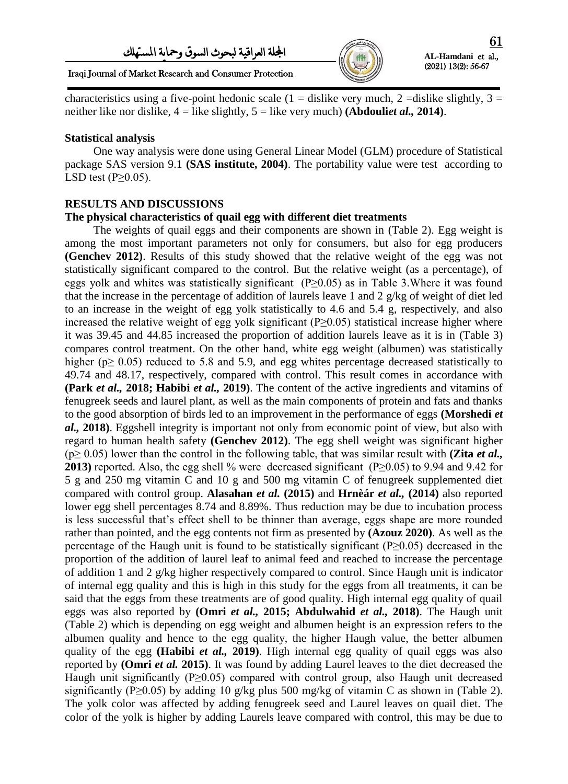

Iraqi Journal of Market Research and Consumer Protection

characteristics using a five-point hedonic scale (1 = dislike very much, 2 = dislike slightly, 3 = neither like nor dislike, 4 = like slightly, 5 = like very much) **(Abdouli***et al.,* **2014)**.

#### **Statistical analysis**

 One way analysis were done using General Linear Model (GLM) procedure of Statistical package SAS version 9.1 **(SAS institute, 2004)**. The portability value were test according to LSD test  $(P \geq 0.05)$ .

### **RESULTS AND DISCUSSIONS**

#### **The physical characteristics of quail egg with different diet treatments**

 The weights of quail eggs and their components are shown in (Table 2). Egg weight is among the most important parameters not only for consumers, but also for egg producers **(Genchev 2012)**. Results of this study showed that the relative weight of the egg was not statistically significant compared to the control. But the relative weight (as a percentage), of eggs yolk and whites was statistically significant (P≥0.05) as in Table 3.Where it was found that the increase in the percentage of addition of laurels leave 1 and 2 g/kg of weight of diet led to an increase in the weight of egg yolk statistically to 4.6 and 5.4 g, respectively, and also increased the relative weight of egg yolk significant ( $P>0.05$ ) statistical increase higher where it was 39.45 and 44.85 increased the proportion of addition laurels leave as it is in (Table 3) compares control treatment. On the other hand, white egg weight (albumen) was statistically higher (p≥ 0.05) reduced to 5.8 and 5.9, and egg whites percentage decreased statistically to 49.74 and 48.17, respectively, compared with control. This result comes in accordance with **(Park** *et al.,* **2018; Habibi** *et al.,* **2019)**. The content of the active ingredients and vitamins of fenugreek seeds and laurel plant, as well as the main components of protein and fats and thanks to the good absorption of birds led to an improvement in the performance of eggs **(Morshedi** *et al.,* **2018)**. Eggshell integrity is important not only from economic point of view, but also with regard to human health safety **(Genchev 2012)**. The egg shell weight was significant higher (p≥ 0.05) lower than the control in the following table, that was similar result with **(Zita** *et al.,* **2013**) reported. Also, the egg shell % were decreased significant (P≥0.05) to 9.94 and 9.42 for 5 g and 250 mg vitamin C and 10 g and 500 mg vitamin C of fenugreek supplemented diet compared with control group. **Alasahan** *et al.* **(2015)** and **Hrnèár** *et al.,* **(2014)** also reported lower egg shell percentages 8.74 and 8.89%. Thus reduction may be due to incubation process is less successful that's effect shell to be thinner than average, eggs shape are more rounded rather than pointed, and the egg contents not firm as presented by **(Azouz 2020)**. As well as the percentage of the Haugh unit is found to be statistically significant (P≥0.05) decreased in the proportion of the addition of laurel leaf to animal feed and reached to increase the percentage of addition 1 and 2 g/kg higher respectively compared to control. Since Haugh unit is indicator of internal egg quality and this is high in this study for the eggs from all treatments, it can be said that the eggs from these treatments are of good quality. High internal egg quality of quail eggs was also reported by **(Omri** *et al.,* **2015; Abdulwahid** *et al.,* **2018)**. The Haugh unit (Table 2) which is depending on egg weight and albumen height is an expression refers to the albumen quality and hence to the egg quality, the higher Haugh value, the better albumen quality of the egg **(Habibi** *et al.,* **2019)**. High internal egg quality of quail eggs was also reported by **(Omri** *et al.* **2015)**. It was found by adding Laurel leaves to the diet decreased the Haugh unit significantly (P $\geq$ 0.05) compared with control group, also Haugh unit decreased significantly (P≥0.05) by adding 10 g/kg plus 500 mg/kg of vitamin C as shown in (Table 2). The yolk color was affected by adding fenugreek seed and Laurel leaves on quail diet. The color of the yolk is higher by adding Laurels leave compared with control, this may be due to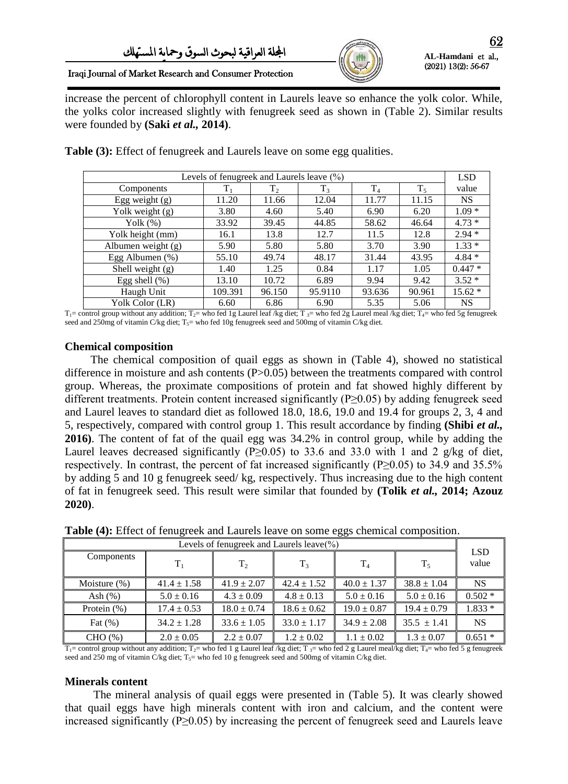

Iraqi Journal of Market Research and Consumer Protection

increase the percent of chlorophyll content in Laurels leave so enhance the yolk color. While, the yolks color increased slightly with fenugreek seed as shown in (Table 2). Similar results were founded by **(Saki** *et al.,* **2014)**.

| Levels of fenugreek and Laurels leave $(\% )$ |         |        |         |        |        |                     |
|-----------------------------------------------|---------|--------|---------|--------|--------|---------------------|
| Components                                    | $T_1$   | $T_2$  | $T_3$   | $T_4$  | $T_5$  | <b>LSD</b><br>value |
| Egg weight $(g)$                              | 11.20   | 11.66  | 12.04   | 11.77  | 11.15  | <b>NS</b>           |
| Yolk weight (g)                               | 3.80    | 4.60   | 5.40    | 6.90   | 6.20   | $1.09*$             |
| Yolk $(\%)$                                   | 33.92   | 39.45  | 44.85   | 58.62  | 46.64  | $4.73*$             |
| Yolk height (mm)                              | 16.1    | 13.8   | 12.7    | 11.5   | 12.8   | $2.94*$             |
| Albumen weight (g)                            | 5.90    | 5.80   | 5.80    | 3.70   | 3.90   | $1.33*$             |
| Egg Albumen (%)                               | 55.10   | 49.74  | 48.17   | 31.44  | 43.95  | $4.84*$             |
| Shell weight (g)                              | 1.40    | 1.25   | 0.84    | 1.17   | 1.05   | $0.447*$            |
| Egg shell $(\%)$                              | 13.10   | 10.72  | 6.89    | 9.94   | 9.42   | $3.52*$             |
| Haugh Unit                                    | 109.391 | 96.150 | 95.9110 | 93.636 | 90.961 | $15.62*$            |
| Yolk Color (LR)                               | 6.60    | 6.86   | 6.90    | 5.35   | 5.06   | <b>NS</b>           |

**Table (3):** Effect of fenugreek and Laurels leave on some egg qualities.

 $T_1$ = control group without any addition;  $T_2$ = who fed 1g Laurel leaf /kg diet;  $T_3$ = who fed 2g Laurel meal /kg diet;  $T_4$ = who fed 5g fenugreek seed and 250mg of vitamin C/kg diet;  $T_5$ = who fed 10g fenugreek seed and 500mg of vitamin C/kg diet.

### **Chemical composition**

 The chemical composition of quail eggs as shown in (Table 4), showed no statistical difference in moisture and ash contents (P>0.05) between the treatments compared with control group. Whereas, the proximate compositions of protein and fat showed highly different by different treatments. Protein content increased significantly (P≥0.05) by adding fenugreek seed and Laurel leaves to standard diet as followed 18.0, 18.6, 19.0 and 19.4 for groups 2, 3, 4 and 5, respectively, compared with control group 1. This result accordance by finding **(Shibi** *et al.,* **2016)**. The content of fat of the quail egg was 34.2% in control group, while by adding the Laurel leaves decreased significantly (P≥0.05) to 33.6 and 33.0 with 1 and 2 g/kg of diet, respectively. In contrast, the percent of fat increased significantly ( $P \ge 0.05$ ) to 34.9 and 35.5% by adding 5 and 10 g fenugreek seed/ kg, respectively. Thus increasing due to the high content of fat in fenugreek seed. This result were similar that founded by **(Tolik** *et al.,* **2014; Azouz 2020)**.

| Levels of fenugreek and Laurels leave $(\%)$ |                 |                 |                 |                 |                 |                     |
|----------------------------------------------|-----------------|-----------------|-----------------|-----------------|-----------------|---------------------|
| Components                                   | $T_{1}$         | $T_{2}$         | T <sub>3</sub>  | $T_{4}$         | $T_{5}$         | <b>LSD</b><br>value |
| Moisture $(\%)$                              | $41.4 \pm 1.58$ | $41.9 \pm 2.07$ | $42.4 \pm 1.52$ | $40.0 \pm 1.37$ | $38.8 \pm 1.04$ | <b>NS</b>           |
| Ash $(\% )$                                  | $5.0 \pm 0.16$  | $4.3 \pm 0.09$  | $4.8 \pm 0.13$  | $5.0 \pm 0.16$  | $5.0 \pm 0.16$  | $0.502*$            |
| Protein $(\%)$                               | $17.4 \pm 0.53$ | $18.0 \pm 0.74$ | $18.6 \pm 0.62$ | $19.0 \pm 0.87$ | $19.4 \pm 0.79$ | $1.833*$            |
| Fat $(\%)$                                   | $34.2 \pm 1.28$ | $33.6 \pm 1.05$ | $33.0 \pm 1.17$ | $34.9 \pm 2.08$ | $35.5 \pm 1.41$ | <b>NS</b>           |
| CHO (%)                                      | $2.0 \pm 0.05$  | $2.2 \pm 0.07$  | $1.2 \pm 0.02$  | $1.1 \pm 0.02$  | $1.3 \pm 0.07$  | $0.651*$            |

**Table (4):** Effect of fenugreek and Laurels leave on some eggs chemical composition.

 $T_1$ = control group without any addition;  $T_2$ = who fed 1 g Laurel leaf /kg diet;  $T_3$ = who fed 2 g Laurel meal/kg diet;  $T_4$ = who fed 5 g fenugreek seed and 250 mg of vitamin C/kg diet; T<sub>5</sub>= who fed 10 g fenugreek seed and 500mg of vitamin C/kg diet.

# **Minerals content**

 The mineral analysis of quail eggs were presented in (Table 5). It was clearly showed that quail eggs have high minerals content with iron and calcium, and the content were increased significantly (P≥0.05) by increasing the percent of fenugreek seed and Laurels leave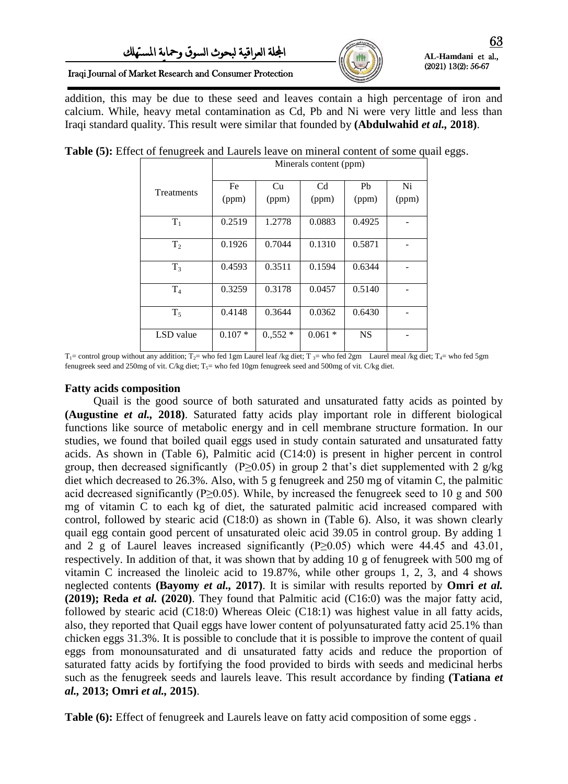

#### Iraqi Journal of Market Research and Consumer Protection

addition, this may be due to these seed and leaves contain a high percentage of iron and calcium. While, heavy metal contamination as Cd, Pb and Ni were very little and less than Iraqi standard quality. This result were similar that founded by **(Abdulwahid** *et al.,* **2018)**.

|                | Minerals content (ppm) |             |             |                         |             |  |  |
|----------------|------------------------|-------------|-------------|-------------------------|-------------|--|--|
| Treatments     | Fe<br>(ppm)            | Cu<br>(ppm) | Cd<br>(ppm) | P <sub>b</sub><br>(ppm) | Ni<br>(ppm) |  |  |
| $T_1$          | 0.2519                 | 1.2778      | 0.0883      | 0.4925                  |             |  |  |
| T <sub>2</sub> | 0.1926                 | 0.7044      | 0.1310      | 0.5871                  |             |  |  |
| T <sub>3</sub> | 0.4593                 | 0.3511      | 0.1594      | 0.6344                  |             |  |  |
| T <sub>4</sub> | 0.3259                 | 0.3178      | 0.0457      | 0.5140                  |             |  |  |
| T <sub>5</sub> | 0.4148                 | 0.3644      | 0.0362      | 0.6430                  |             |  |  |
| LSD value      | $0.107*$               | $0.552*$    | 0.061<br>∗  | <b>NS</b>               |             |  |  |

**Table (5):** Effect of fenugreek and Laurels leave on mineral content of some quail eggs.

 $T_1$ = control group without any addition; T<sub>2</sub>= who fed 1gm Laurel leaf /kg diet; T<sub>3</sub>= who fed 2gm Laurel meal /kg diet; T<sub>4</sub>= who fed 5gm fenugreek seed and 250mg of vit. C/kg diet;  $T_5$ = who fed 10gm fenugreek seed and 500mg of vit. C/kg diet.

#### **Fatty acids composition**

 Quail is the good source of both saturated and unsaturated fatty acids as pointed by **(Augustine** *et al.,* **2018)**. Saturated fatty acids play important role in different biological functions like source of metabolic energy and in cell membrane structure formation. In our studies, we found that boiled quail eggs used in study contain saturated and unsaturated fatty acids. As shown in (Table 6), Palmitic acid (C14:0) is present in higher percent in control group, then decreased significantly (P $\geq$ 0.05) in group 2 that's diet supplemented with 2 g/kg diet which decreased to 26.3%. Also, with 5 g fenugreek and 250 mg of vitamin C, the palmitic acid decreased significantly (P $\geq$ 0.05). While, by increased the fenugreek seed to 10 g and 500 mg of vitamin C to each kg of diet, the saturated palmitic acid increased compared with control, followed by stearic acid (C18:0) as shown in (Table 6). Also, it was shown clearly quail egg contain good percent of unsaturated oleic acid 39.05 in control group. By adding 1 and 2 g of Laurel leaves increased significantly ( $P \ge 0.05$ ) which were 44.45 and 43.01, respectively. In addition of that, it was shown that by adding 10 g of fenugreek with 500 mg of vitamin C increased the linoleic acid to 19.87%, while other groups 1, 2, 3, and 4 shows neglected contents **(Bayomy** *et al.,* **2017)**. It is similar with results reported by **Omri** *et al.*  **(2019); Reda** *et al.* **(2020)**. They found that Palmitic acid (C16:0) was the major fatty acid, followed by stearic acid (C18:0) Whereas Oleic (C18:1) was highest value in all fatty acids, also, they reported that Quail eggs have lower content of polyunsaturated fatty acid 25.1% than chicken eggs 31.3%. It is possible to conclude that it is possible to improve the content of quail eggs from monounsaturated and di unsaturated fatty acids and reduce the proportion of saturated fatty acids by fortifying the food provided to birds with seeds and medicinal herbs such as the fenugreek seeds and laurels leave. This result accordance by finding **(Tatiana** *et al.,* **2013; Omri** *et al.,* **2015)**.

**Table (6):** Effect of fenugreek and Laurels leave on fatty acid composition of some eggs .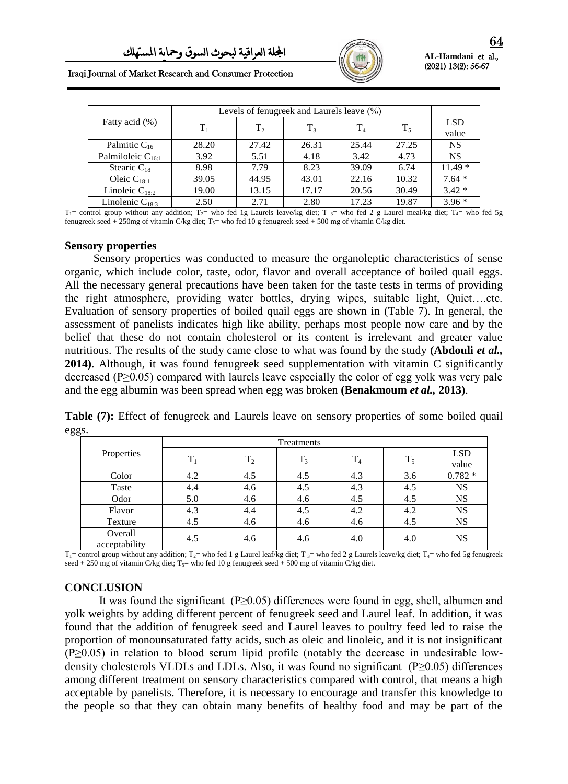

Iraqi Journal of Market Research and Consumer Protection

|                        | Levels of fenugreek and Laurels leave $(\%)$ |         |       |       |       |                     |
|------------------------|----------------------------------------------|---------|-------|-------|-------|---------------------|
| Fatty acid (%)         | $\rm{T}_1$                                   | $T_{2}$ | $T_3$ | $T_4$ | $T_5$ | <b>LSD</b><br>value |
| Palmitic $C_{16}$      | 28.20                                        | 27.42   | 26.31 | 25.44 | 27.25 | <b>NS</b>           |
| Palmiloleic $C_{16:1}$ | 3.92                                         | 5.51    | 4.18  | 3.42  | 4.73  | <b>NS</b>           |
| Stearic $C_{18}$       | 8.98                                         | 7.79    | 8.23  | 39.09 | 6.74  | $11.49*$            |
| Oleic $C_{18:1}$       | 39.05                                        | 44.95   | 43.01 | 22.16 | 10.32 | $7.64*$             |
| Linoleic $C_{18:2}$    | 19.00                                        | 13.15   | 17.17 | 20.56 | 30.49 | $3.42*$             |
| Linolenic $C_{18:3}$   | 2.50                                         | 2.71    | 2.80  | 17.23 | 19.87 | $3.96*$             |

 $T_1$ = control group without any addition;  $T_2$ = who fed 1g Laurels leave/kg diet;  $T_3$ = who fed 2 g Laurel meal/kg diet;  $T_4$ = who fed 5g fenugreek seed + 250mg of vitamin C/kg diet;  $T_5$ = who fed 10 g fenugreek seed + 500 mg of vitamin C/kg diet.

#### **Sensory properties**

 Sensory properties was conducted to measure the organoleptic characteristics of sense organic, which include color, taste, odor, flavor and overall acceptance of boiled quail eggs. All the necessary general precautions have been taken for the taste tests in terms of providing the right atmosphere, providing water bottles, drying wipes, suitable light, Quiet….etc. Evaluation of sensory properties of boiled quail eggs are shown in (Table 7). In general, the assessment of panelists indicates high like ability, perhaps most people now care and by the belief that these do not contain cholesterol or its content is irrelevant and greater value nutritious. The results of the study came close to what was found by the study **(Abdouli** *et al.,* **2014)**. Although, it was found fenugreek seed supplementation with vitamin C significantly decreased (P≥0.05) compared with laurels leave especially the color of egg yolk was very pale and the egg albumin was been spread when egg was broken **(Benakmoum** *et al.,* **2013)**.

**Table (7):** Effect of fenugreek and Laurels leave on sensory properties of some boiled quail eggs.

|                          | Treatments |       |       |                |       |                     |
|--------------------------|------------|-------|-------|----------------|-------|---------------------|
| Properties               | $T_1$      | $T_2$ | $T_3$ | T <sub>4</sub> | $T_5$ | <b>LSD</b><br>value |
| Color                    | 4.2        | 4.5   | 4.5   | 4.3            | 3.6   | $0.782 *$           |
| Taste                    | 4.4        | 4.6   | 4.5   | 4.3            | 4.5   | NS                  |
| Odor                     | 5.0        | 4.6   | 4.6   | 4.5            | 4.5   | NS                  |
| Flavor                   | 4.3        | 4.4   | 4.5   | 4.2            | 4.2   | NS                  |
| Texture                  | 4.5        | 4.6   | 4.6   | 4.6            | 4.5   | NS                  |
| Overall<br>acceptability | 4.5        | 4.6   | 4.6   | 4.0            | 4.0   | <b>NS</b>           |

 $T_1$ = control group without any addition;  $T_2$ = who fed 1 g Laurel leaf/kg diet;  $T_3$ = who fed 2 g Laurels leave/kg diet;  $T_4$ = who fed 5g fenugreek seed + 250 mg of vitamin C/kg diet; T<sub>5</sub>= who fed 10 g fenugreek seed + 500 mg of vitamin C/kg diet.

### **CONCLUSION**

It was found the significant (P≥0.05) differences were found in egg, shell, albumen and yolk weights by adding different percent of fenugreek seed and Laurel leaf. In addition, it was found that the addition of fenugreek seed and Laurel leaves to poultry feed led to raise the proportion of monounsaturated fatty acids, such as oleic and linoleic, and it is not insignificant (P≥0.05) in relation to blood serum lipid profile (notably the decrease in undesirable lowdensity cholesterols VLDLs and LDLs. Also, it was found no significant (P≥0.05) differences among different treatment on sensory characteristics compared with control, that means a high acceptable by panelists. Therefore, it is necessary to encourage and transfer this knowledge to the people so that they can obtain many benefits of healthy food and may be part of the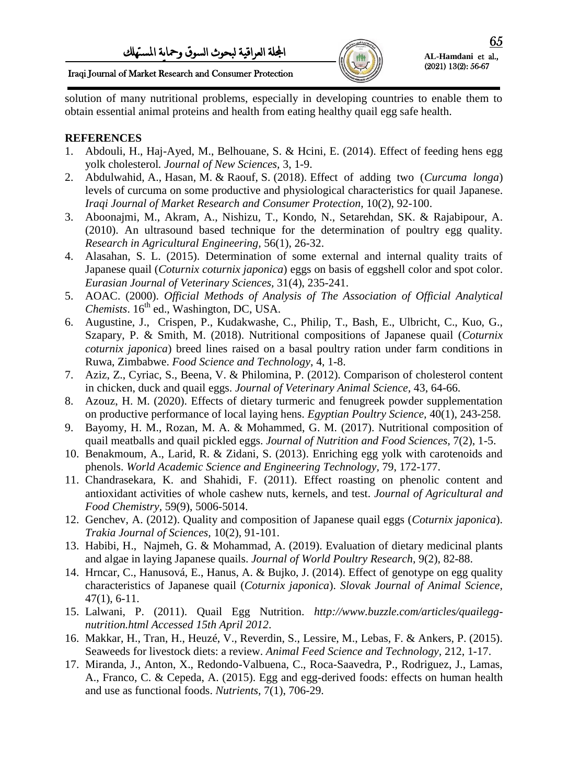

(2021) 13(2): 56-67

Iraqi Journal of Market Research and Consumer Protection

solution of many nutritional problems, especially in developing countries to enable them to obtain essential animal proteins and health from eating healthy quail egg safe health.

# **REFERENCES**

- 1. Abdouli, H., Haj-Ayed, M., Belhouane, S. & Hcini, E. (2014). Effect of feeding hens egg yolk cholesterol*. Journal of New Sciences,* 3, 1-9.
- 2. Abdulwahid, A., Hasan, M. & Raouf, S. (2018). Effect of adding two (*Curcuma longa*) levels of curcuma on some productive and physiological characteristics for quail Japanese. *Iraqi Journal of Market Research and Consumer Protection,* 10(2), 92-100.
- 3. Aboonajmi, M., Akram, A., Nishizu, T., Kondo, N., Setarehdan, SK. & Rajabipour, A. (2010). An ultrasound based technique for the determination of poultry egg quality. *Research in Agricultural Engineering,* 56(1), 26-32.
- 4. Alasahan, S. L. (2015). Determination of some external and internal quality traits of Japanese quail (*Coturnix coturnix japonica*) eggs on basis of eggshell color and spot color. *Eurasian Journal of Veterinary Sciences,* 31(4), 235-241.
- 5. AOAC. (2000). *Official Methods of Analysis of The Association of Official Analytical Chemists*.  $16<sup>th</sup>$  ed., Washington, DC, USA.
- 6. Augustine, J., Crispen, P., Kudakwashe, C., Philip, T., Bash, E., Ulbricht, C., Kuo, G., Szapary, P. & Smith, M. (2018). Nutritional compositions of Japanese quail (*Coturnix coturnix japonica*) breed lines raised on a basal poultry ration under farm conditions in Ruwa, Zimbabwe. *Food Science and Technology*, 4, 1-8.
- 7. Aziz, Z., Cyriac, S., Beena, V. & Philomina, P. (2012). Comparison of cholesterol content in chicken, duck and quail eggs. *Journal of Veterinary Animal Science,* 43, 64-66.
- 8. Azouz, H. M. (2020). Effects of dietary turmeric and fenugreek powder supplementation on productive performance of local laying hens. *Egyptian Poultry Science,* 40(1), 243-258.
- 9. Bayomy, H. M., Rozan, M. A. & Mohammed, G. M. (2017). Nutritional composition of quail meatballs and quail pickled eggs. *Journal of Nutrition and Food Sciences,* 7(2), 1-5.
- 10. Benakmoum, A., Larid, R. & Zidani, S. (2013). Enriching egg yolk with carotenoids and phenols. *World Academic Science and Engineering Technology,* 79, 172-177.
- 11. Chandrasekara, K. and Shahidi, F. (2011). Effect roasting on phenolic content and antioxidant activities of whole cashew nuts, kernels, and test. *Journal of Agricultural and Food Chemistry,* 59(9), 5006-5014.
- 12. Genchev, A. (2012). Quality and composition of Japanese quail eggs (*Coturnix japonica*). *Trakia Journal of Sciences,* 10(2), 91-101.
- 13. Habibi, H., Najmeh, G. & Mohammad, A. (2019). Evaluation of dietary medicinal plants and algae in laying Japanese quails. *Journal of World Poultry Research,* 9(2), 82-88.
- 14. Hrncar, C., Hanusová, E., Hanus, A. & Bujko, J. (2014). Effect of genotype on egg quality characteristics of Japanese quail (*Coturnix japonica*). *Slovak Journal of Animal Science,*  47(1), 6-11.
- 15. Lalwani, P. (2011). Quail Egg Nutrition. *http://www.buzzle.com/articles/quaileggnutrition.html Accessed 15th April 2012*.
- 16. Makkar, H., Tran, H., Heuzé, V., Reverdin, S., Lessire, M., Lebas, F. & Ankers, P. (2015). Seaweeds for livestock diets: a review. *Animal Feed Science and Technology,* 212, 1-17.
- 17. Miranda, J., Anton, X., Redondo-Valbuena, C., Roca-Saavedra, P., Rodriguez, J., Lamas, A., Franco, C. & Cepeda, A. (2015). Egg and egg-derived foods: effects on human health and use as functional foods. *Nutrients,* 7(1), 706-29.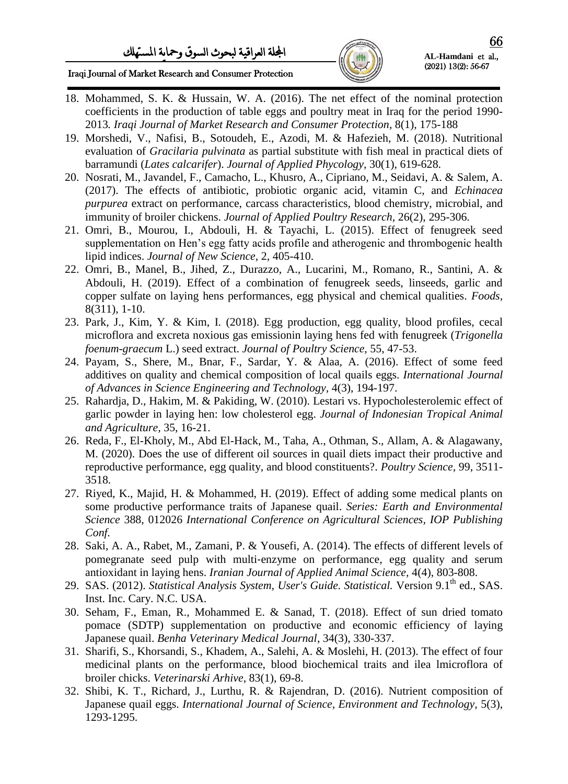

Iraqi Journal of Market Research and Consumer Protection

- 18. Mohammed, S. K. & Hussain, W. A. (2016). The net effect of the nominal protection coefficients in the production of table eggs and poultry meat in Iraq for the period 1990- 2013*. Iraqi Journal of Market Research and Consumer Protection,* 8(1), 175-188
- 19. Morshedi, V., Nafisi, B., Sotoudeh, E., Azodi, M. & Hafezieh, M. (2018). Nutritional evaluation of *Gracilaria pulvinata* as partial substitute with fish meal in practical diets of barramundi (*Lates calcarifer*). *Journal of Applied Phycology,* 30(1), 619-628.
- 20. Nosrati, M., Javandel, F., Camacho, L., Khusro, A., Cipriano, M., Seidavi, A. & Salem, A. (2017). The effects of antibiotic, probiotic organic acid, vitamin C, and *Echinacea purpurea* extract on performance, carcass characteristics, blood chemistry, microbial, and immunity of broiler chickens. *Journal of Applied Poultry Research,* 26(2), 295-306.
- 21. Omri, B., Mourou, I., Abdouli, H. & Tayachi, L. (2015). Effect of fenugreek seed supplementation on Hen's egg fatty acids profile and atherogenic and thrombogenic health lipid indices. *Journal of New Science,* 2, 405-410.
- 22. Omri, B., Manel, B., Jihed, Z., Durazzo, A., Lucarini, M., Romano, R., Santini, A. & Abdouli, H. (2019). Effect of a combination of fenugreek seeds, linseeds, garlic and copper sulfate on laying hens performances, egg physical and chemical qualities. *Foods,* 8(311), 1-10.
- 23. Park, J., Kim, Y. & Kim, I. (2018). Egg production, egg quality, blood profiles, cecal microflora and excreta noxious gas emissionin laying hens fed with fenugreek (*Trigonella foenum-graecum* L.) seed extract. *Journal of Poultry Science,* 55, 47-53.
- 24. Payam, S., Shere, M., Bnar, F., Sardar, Y. & Alaa, A. (2016). Effect of some feed additives on quality and chemical composition of local quails eggs. *International Journal of Advances in Science Engineering and Technology,* 4(3), 194-197.
- 25. Rahardja, D., Hakim, M. & Pakiding, W. (2010). Lestari vs. Hypocholesterolemic effect of garlic powder in laying hen: low cholesterol egg. *Journal of Indonesian Tropical Animal and Agriculture,* 35, 16-21.
- 26. Reda, F., El-Kholy, M., Abd El-Hack, M., Taha, A., Othman, S., Allam, A. & Alagawany, M. (2020). Does the use of different oil sources in quail diets impact their productive and reproductive performance, egg quality, and blood constituents?. *Poultry Science,* 99, 3511- 3518.
- 27. Riyed, K., Majid, H. & Mohammed, H. (2019). Effect of adding some medical plants on some productive performance traits of Japanese quail. *Series: Earth and Environmental Science* 388, 012026 *International Conference on Agricultural Sciences, IOP Publishing Conf.*
- 28. Saki, A. A., Rabet, M., Zamani, P. & Yousefi, A. (2014). The effects of different levels of pomegranate seed pulp with multi‐enzyme on performance, egg quality and serum antioxidant in laying hens. *Iranian Journal of Applied Animal Science,* 4(4), 803-808.
- 29. SAS. (2012). *Statistical Analysis System, User's Guide. Statistical. Version* 9.1<sup>th</sup> ed., SAS. Inst. Inc. Cary. N.C. USA.
- 30. Seham, F., Eman, R., Mohammed E. & Sanad, T. (2018). Effect of sun dried tomato pomace (SDTP) supplementation on productive and economic efficiency of laying Japanese quail. *Benha Veterinary Medical Journal*, 34(3), 330-337.
- 31. Sharifi, S., Khorsandi, S., Khadem, A., Salehi, A. & Moslehi, H. (2013). The effect of four medicinal plants on the performance, blood biochemical traits and ilea lmicroflora of broiler chicks. *Veterinarski Arhive*, 83(1), 69-8.
- 32. Shibi, K. T., Richard, J., Lurthu, R. & Rajendran, D. (2016). Nutrient composition of Japanese quail eggs. *International Journal of Science, Environment and Technology,* 5(3), 1293-1295.